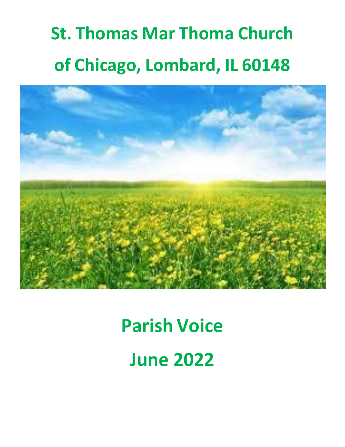# **St. Thomas Mar Thoma Church of Chicago, Lombard, IL 60148**



## **Parish Voice**

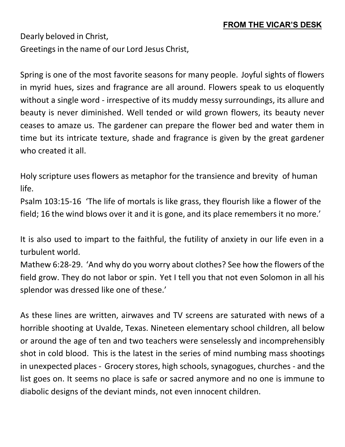Dearly beloved in Christ, Greetings in the name of our Lord Jesus Christ,

Spring is one of the most favorite seasons for many people. Joyful sights of flowers in myrid hues, sizes and fragrance are all around. Flowers speak to us eloquently without a single word - irrespective of its muddy messy surroundings, its allure and beauty is never diminished. Well tended or wild grown flowers, its beauty never ceases to amaze us. The gardener can prepare the flower bed and water them in time but its intricate texture, shade and fragrance is given by the great gardener who created it all.

Holy scripture uses flowers as metaphor for the transience and brevity of human life.

Psalm 103:15-16 'The life of mortals is like grass, they flourish like a flower of the field; 16 the wind blows over it and it is gone, and its place remembers it no more.'

It is also used to impart to the faithful, the futility of anxiety in our life even in a turbulent world.

Mathew 6:28-29. 'And why do you worry about clothes? See how the flowers of the field grow. They do not labor or spin. Yet I tell you that not even Solomon in all his splendor was dressed like one of these.'

As these lines are written, airwaves and TV screens are saturated with news of a horrible shooting at Uvalde, Texas. Nineteen elementary school children, all below or around the age of ten and two teachers were senselessly and incomprehensibly shot in cold blood. This is the latest in the series of mind numbing mass shootings in unexpected places - Grocery stores, high schools, synagogues, churches - and the list goes on. It seems no place is safe or sacred anymore and no one is immune to diabolic designs of the deviant minds, not even innocent children.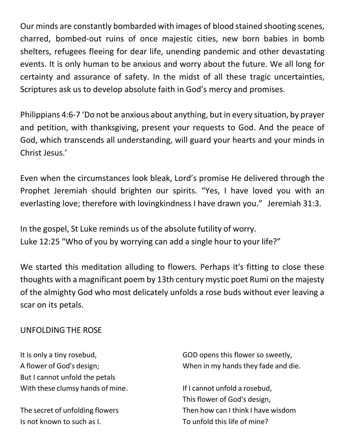Our minds are constantly bombarded with images of blood stained shooting scenes, charred, bombed-out ruins of once majestic cities, new born babies in bomb shelters, refugees fleeing for dear life, unending pandemic and other devastating events. It is only human to be anxious and worry about the future. We all long for certainty and assurance of safety. In the midst of all these tragic uncertainties, Scriptures ask us to develop absolute faith in God's mercy and promises.

Philippians 4:6-7 'Do not be anxious about anything, but in every situation, by prayer and petition, with thanksgiving, present your requests to God. And the peace of God, which transcends all understanding, will guard your hearts and your minds in Christ Jesus.'

Even when the circumstances look bleak, Lord's promise He delivered through the Prophet Jeremiah should brighten our spirits. "Yes, I have loved you with an everlasting love; therefore with lovingkindness I have drawn you." Jeremiah 31:3.

In the gospel, St Luke reminds us of the absolute futility of worry. Luke 12:25 "Who of you by worrying can add a single hour to your life?"

We started this meditation alluding to flowers. Perhaps it's fitting to close these thoughts with a magnificant poem by 13th century mystic poet Rumi on the majesty of the almighty God who most delicately unfolds a rose buds without ever leaving a scar on its petals.

#### UNFOLDING THE ROSE

It is only a tiny rosebud, A flower of God's design; But I cannot unfold the petals With these clumsy hands of mine.

The secret of unfolding flowers Is not known to such as I.

GOD opens this flower so sweetly, When in my hands they fade and die.

If I cannot unfold a rosebud, This flower of God's design, Then how can I think I have wisdom To unfold this life of mine?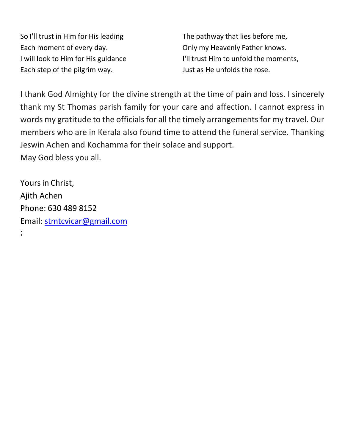So I'll trust in Him for His leading Each moment of every day. I will look to Him for His guidance Each step of the pilgrim way.

The pathway that lies before me, Only my Heavenly Father knows. I'll trust Him to unfold the moments, Just as He unfolds the rose.

I thank God Almighty for the divine strength at the time of pain and loss. I sincerely thank my St Thomas parish family for your care and affection. I cannot express in words my gratitude to the officials for all the timely arrangements for my travel. Our members who are in Kerala also found time to attend the funeral service. Thanking Jeswin Achen and Kochamma for their solace and support. May God bless you all.

Yours in Christ, Ajith Achen Phone: 630 489 8152 Email: [stmtcvicar@gmail.com](mailto:stmtcvicar@gmail.com)

;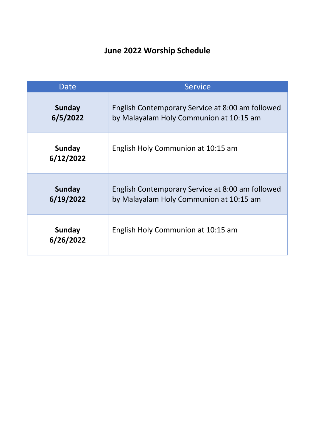#### **June 2022 Worship Schedule**

| Date                       | <b>Service</b>                                                                              |
|----------------------------|---------------------------------------------------------------------------------------------|
| <b>Sunday</b><br>6/5/2022  | English Contemporary Service at 8:00 am followed<br>by Malayalam Holy Communion at 10:15 am |
| <b>Sunday</b><br>6/12/2022 | English Holy Communion at 10:15 am                                                          |
| <b>Sunday</b><br>6/19/2022 | English Contemporary Service at 8:00 am followed<br>by Malayalam Holy Communion at 10:15 am |
| <b>Sunday</b><br>6/26/2022 | English Holy Communion at 10:15 am                                                          |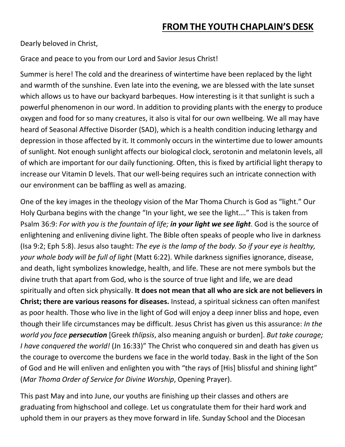Dearly beloved in Christ,

Grace and peace to you from our Lord and Savior Jesus Christ!

Summer is here! The cold and the dreariness of wintertime have been replaced by the light and warmth of the sunshine. Even late into the evening, we are blessed with the late sunset which allows us to have our backyard barbeques. How interesting is it that sunlight is such a powerful phenomenon in our word. In addition to providing plants with the energy to produce oxygen and food for so many creatures, it also is vital for our own wellbeing. We all may have heard of Seasonal Affective Disorder (SAD), which is a health condition inducing lethargy and depression in those affected by it. It commonly occurs in the wintertime due to lower amounts of sunlight. Not enough sunlight affects our biological clock, serotonin and melatonin levels, all of which are important for our daily functioning. Often, this is fixed by artificial light therapy to increase our Vitamin D levels. That our well-being requires such an intricate connection with our environment can be baffling as well as amazing.

One of the key images in the theology vision of the Mar Thoma Church is God as "light." Our Holy Qurbana begins with the change "In your light, we see the light…." This is taken from Psalm 36:9: *For with you is the fountain of life; in your light we see light*. God is the source of enlightening and enlivening divine light. The Bible often speaks of people who live in darkness (Isa 9:2; Eph 5:8). Jesus also taught: *The eye is the lamp of the body. So if your eye is healthy, your whole body will be full of light* (Matt 6:22). While darkness signifies ignorance, disease, and death, light symbolizes knowledge, health, and life. These are not mere symbols but the divine truth that apart from God, who is the source of true light and life, we are dead spiritually and often sick physically. **It does not mean that all who are sick are not believers in Christ; there are various reasons for diseases.** Instead, a spiritual sickness can often manifest as poor health. Those who live in the light of God will enjoy a deep inner bliss and hope, even though their life circumstances may be difficult. Jesus Christ has given us this assurance: *In the world you face persecution* [Greek *thlipsis*, also meaning anguish or burden]. *But take courage; I have conquered the world!* (Jn 16:33)" The Christ who conquered sin and death has given us the courage to overcome the burdens we face in the world today. Bask in the light of the Son of God and He will enliven and enlighten you with "the rays of [His] blissful and shining light" (*Mar Thoma Order of Service for Divine Worship*, Opening Prayer).

This past May and into June, our youths are finishing up their classes and others are graduating from highschool and college. Let us congratulate them for their hard work and uphold them in our prayers as they move forward in life. Sunday School and the Diocesan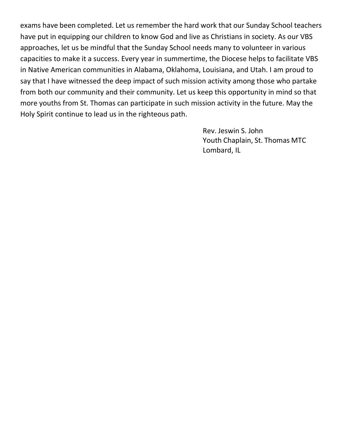exams have been completed. Let us remember the hard work that our Sunday School teachers have put in equipping our children to know God and live as Christians in society. As our VBS approaches, let us be mindful that the Sunday School needs many to volunteer in various capacities to make it a success. Every year in summertime, the Diocese helps to facilitate VBS in Native American communities in Alabama, Oklahoma, Louisiana, and Utah. I am proud to say that I have witnessed the deep impact of such mission activity among those who partake from both our community and their community. Let us keep this opportunity in mind so that more youths from St. Thomas can participate in such mission activity in the future. May the Holy Spirit continue to lead us in the righteous path.

> Rev. Jeswin S. John Youth Chaplain, St. Thomas MTC Lombard, IL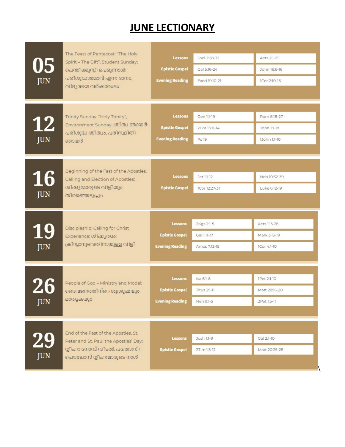## **JUNE LECTIONARY**

| 05<br><b>JUN</b>        | The Feast of Pentecost: "The Holy<br>Spirit - The Gift", Student Sunday;<br>പെന്തിക്കുമ്പ്ലി പെരുന്നാൾ:<br>പരിശുദ്ധാത്മാവ് എന്ന ദാനം,<br>വിദ്യാലയ വർഷാരംഭം | <b>Lessons</b><br><b>Epistle Gospel</b><br><b>Evening Reading</b> | Joel 2:28-32<br>Gal 5:16-24<br>Exod 19:10-21  | Acts 2:1-21<br>John 16:6-16<br>ICor 2:10-16 |
|-------------------------|------------------------------------------------------------------------------------------------------------------------------------------------------------|-------------------------------------------------------------------|-----------------------------------------------|---------------------------------------------|
| <u>12</u><br><b>JUN</b> | Trinity Sunday: "Holy Trinity",<br>Environment Sunday; ത്രിത്വ ഞായർ:<br>പരിശുദ്ധ ത്രിത്വം, പരിസ്ഥിതി<br>ഞായർ                                               | <b>Lessons</b><br><b>Epistle Gospel</b><br><b>Evening Reading</b> | Gen 1:1-19<br>2Cor 13:11-14<br>Ps 19          | Rom 8:18-27<br>John 1:1-18<br>13ohn 1:1-10  |
| <b>16</b><br><b>JUN</b> | Beginning of the Fast of the Apostles,<br>Calling and Election of Apostles;<br>ശിഷ്യന്മാരുടെ വിളിയും<br>തിരഞ്ഞെടുപ്പും                                     | <b>Lessons</b><br><b>Epistle Gospel</b>                           | Jer 1:1-12<br>1Cor 12:27-31                   | Heb 10:32-39<br>Luke 6:12-19                |
| <b>19</b><br><b>JUN</b> | Discipleship: Calling for Christ<br>Experience; ശിഷ്യത്വം:<br>ക്രിസ്താനുഭവതിനായുള്ള വിളി                                                                   | <b>Lessons</b><br><b>Epistle Gospel</b><br><b>Evening Reading</b> | 2Kgs 2:1-5<br>Gal 1:11-17<br>Amos 7:12-15     | Acts 1:15-26<br>Mark 3:13-19<br>ICor 4:1-10 |
| <b>JUN</b>              | People of God - Ministry and Model;<br>ദൈവജനത്തിന്റെ ശുശ്രൂഷയും<br>മാത്യകയും                                                                               | <b>Lessons</b><br><b>Epistle Gospel</b><br><b>Evening Reading</b> | Isa 6:1-8<br><b>Titus 2:1-11</b><br>Neh 9:1-5 | IPet 2:1-10<br>Matt 28:16-20<br>2Pet 1:5-11 |
|                         |                                                                                                                                                            |                                                                   |                                               |                                             |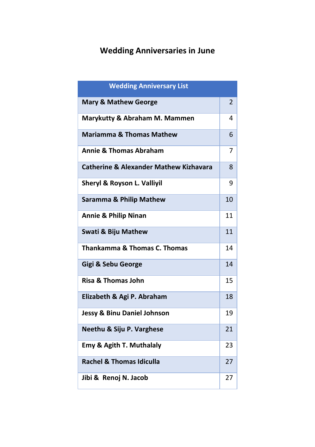#### **Wedding Anniversaries in June**

| <b>Wedding Anniversary List</b>                   |    |
|---------------------------------------------------|----|
| <b>Mary &amp; Mathew George</b>                   | 2  |
| Marykutty & Abraham M. Mammen                     | 4  |
| <b>Mariamma &amp; Thomas Mathew</b>               | 6  |
| <b>Annie &amp; Thomas Abraham</b>                 | 7  |
| <b>Catherine &amp; Alexander Mathew Kizhavara</b> | 8  |
| Sheryl & Royson L. Valliyil                       | 9  |
| <b>Saramma &amp; Philip Mathew</b>                | 10 |
| <b>Annie &amp; Philip Ninan</b>                   | 11 |
| <b>Swati &amp; Biju Mathew</b>                    | 11 |
| <b>Thankamma &amp; Thomas C. Thomas</b>           | 14 |
| Gigi & Sebu George                                | 14 |
| <b>Risa &amp; Thomas John</b>                     | 15 |
| Elizabeth & Agi P. Abraham                        | 18 |
| <b>Jessy &amp; Binu Daniel Johnson</b>            | 19 |
| Neethu & Siju P. Varghese                         | 21 |
| <b>Emy &amp; Agith T. Muthalaly</b>               | 23 |
| <b>Rachel &amp; Thomas Idiculla</b>               | 27 |
| Jibi & Renoj N. Jacob                             | 27 |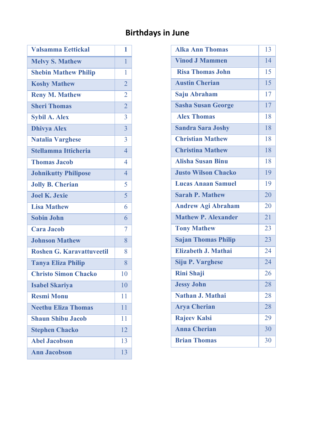#### **Birthdays in June**

| <b>Valsamma Eettickal</b>        | 1               |
|----------------------------------|-----------------|
| <b>Melvy S. Mathew</b>           | 1               |
| <b>Shebin Mathew Philip</b>      | 1               |
| <b>Koshy Mathew</b>              | $\overline{2}$  |
| <b>Reny M. Mathew</b>            | $\overline{2}$  |
| <b>Sheri Thomas</b>              | $\overline{2}$  |
| <b>Sybil A. Alex</b>             | 3               |
| <b>Dhivya Alex</b>               | 3               |
| Natalia Varghese                 | 3               |
| <b>Stellamma Itticheria</b>      | $\overline{4}$  |
| <b>Thomas Jacob</b>              | 4               |
| <b>Johnikutty Philipose</b>      | $\overline{4}$  |
| <b>Jolly B. Cherian</b>          | 5               |
| <b>Joel K. Jexie</b>             | $\overline{5}$  |
| <b>Lisa Mathew</b>               | 6               |
| <b>Sobin John</b>                | 6               |
| Cara Jacob                       | 7               |
| <b>Johnson Mathew</b>            | 8               |
| <b>Roshen G. Karavattuveetil</b> | 8               |
| <b>Tanya Eliza Philip</b>        | 8               |
| <b>Christo Simon Chacko</b>      | 10              |
| <b>Isabel Skariya</b>            | 10              |
| <b>Resmi Monu</b>                | 11              |
| <b>Neethu Eliza Thomas</b>       | $\overline{11}$ |
| <b>Shaun Shibu Jacob</b>         | 11              |
| <b>Stephen Chacko</b>            | $\overline{12}$ |
| <b>Abel Jacobson</b>             | 13              |
| <b>Ann Jacobson</b>              | 13              |

| <b>Alka Ann Thomas</b>     | 13              |
|----------------------------|-----------------|
| <b>Vinod J Mammen</b>      | 14              |
| <b>Risa Thomas John</b>    | $\overline{15}$ |
| <b>Austin Cherian</b>      | $\overline{15}$ |
| Saju Abraham               | $\overline{17}$ |
| <b>Sasha Susan George</b>  | 17              |
| <b>Alex Thomas</b>         | 18              |
| <b>Sandra Sara Joshy</b>   | 18              |
| <b>Christian Mathew</b>    | 18              |
| <b>Christina Mathew</b>    | 18              |
| <b>Alisha Susan Binu</b>   | 18              |
| <b>Justo Wilson Chacko</b> | 19              |
| <b>Lucas Anaan Samuel</b>  | 19              |
| <b>Sarah P. Mathew</b>     | 20              |
| <b>Andrew Agi Abraham</b>  | 20              |
| <b>Mathew P. Alexander</b> | 2.1             |
| <b>Tony Mathew</b>         | 23              |
| <b>Sajan Thomas Philip</b> | 23              |
| Elizabeth J. Mathai        | 24              |
| Siju P. Varghese           | 24              |
| <b>Rini Shaji</b>          | 26              |
| <b>Jessy John</b>          | 28              |
| Nathan J. Mathai           | 28              |
| <b>Arya Cherian</b>        | 28              |
| <b>Rajeev Kalsi</b>        | 29              |
| <b>Anna Cherian</b>        | 30              |
| <b>Brian Thomas</b>        | 30              |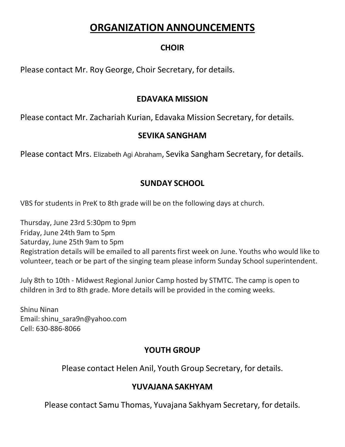### **ORGANIZATION ANNOUNCEMENTS**

#### **CHOIR**

Please contact Mr. Roy George, Choir Secretary, for details.

#### **EDAVAKA MISSION**

Please contact Mr. Zachariah Kurian, Edavaka Mission Secretary, for details.

#### **SEVIKA SANGHAM**

Please contact Mrs. Elizabeth Agi Abraham, Sevika Sangham Secretary, for details.

#### **SUNDAY SCHOOL**

VBS for students in PreK to 8th grade will be on the following days at church.

Thursday, June 23rd 5:30pm to 9pm Friday, June 24th 9am to 5pm Saturday, June 25th 9am to 5pm Registration details will be emailed to all parents first week on June. Youths who would like to volunteer, teach or be part of the singing team please inform Sunday School superintendent.

July 8th to 10th - Midwest Regional Junior Camp hosted by STMTC. The camp is open to children in 3rd to 8th grade. More details will be provided in the coming weeks.

Shinu Ninan Email[:shinu\\_sara9n@yahoo.com](mailto:shinu_sara9n@yahoo.com) Cell: 630-886-8066

#### **YOUTH GROUP**

Please contact Helen Anil, Youth Group Secretary, for details.

#### **YUVAJANA SAKHYAM**

Please contact Samu Thomas, Yuvajana Sakhyam Secretary, for details.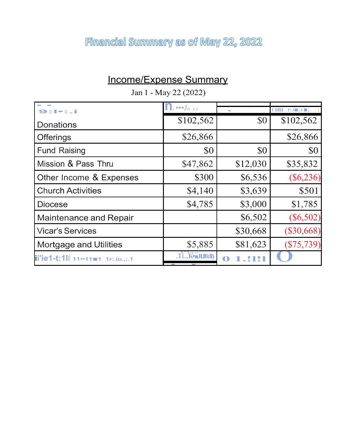## Financial Summary as of May 22, 2022

## Income/Expense Summary

| Jan 1 - May 22 (2022)             |                                                       |             |                                    |
|-----------------------------------|-------------------------------------------------------|-------------|------------------------------------|
| コロ目                               | $\bullet \bullet \bullet J_{\mathrm{II}+\mathrm{rJ}}$ |             | $\overline{\text{HM}}$ rained , at |
| <b>Donations</b>                  | \$102,562                                             | \$0         | \$102,562                          |
| <b>Offerings</b>                  | \$26,866                                              |             | \$26,866                           |
| <b>Fund Raising</b>               | \$0                                                   | \$0         | \$0                                |
| Mission & Pass Thru               | \$47,862                                              | \$12,030    | \$35,832                           |
| Other Income & Expenses           | \$300                                                 | \$6,536     | $(\$6,236)$                        |
| <b>Church Activities</b>          | \$4,140                                               | \$3,639     | \$501                              |
| <b>Diocese</b>                    | \$4,785                                               | \$3,000     | \$1,785                            |
| <b>Maintenance and Repair</b>     |                                                       | \$6,502     | $(\$6,502)$                        |
| <b>Vicar's Services</b>           |                                                       | \$30,668    | $(\$30,668)$                       |
| <b>Mortgage and Utilities</b>     | \$5,885                                               | \$81,623    | $(\$75,739)$                       |
| ii'ie1-t:1ll 11--11=1 1r:.iu.,:.1 | <b>Ti., K-JIJ9JI</b>                                  | $\mathbf 0$ |                                    |